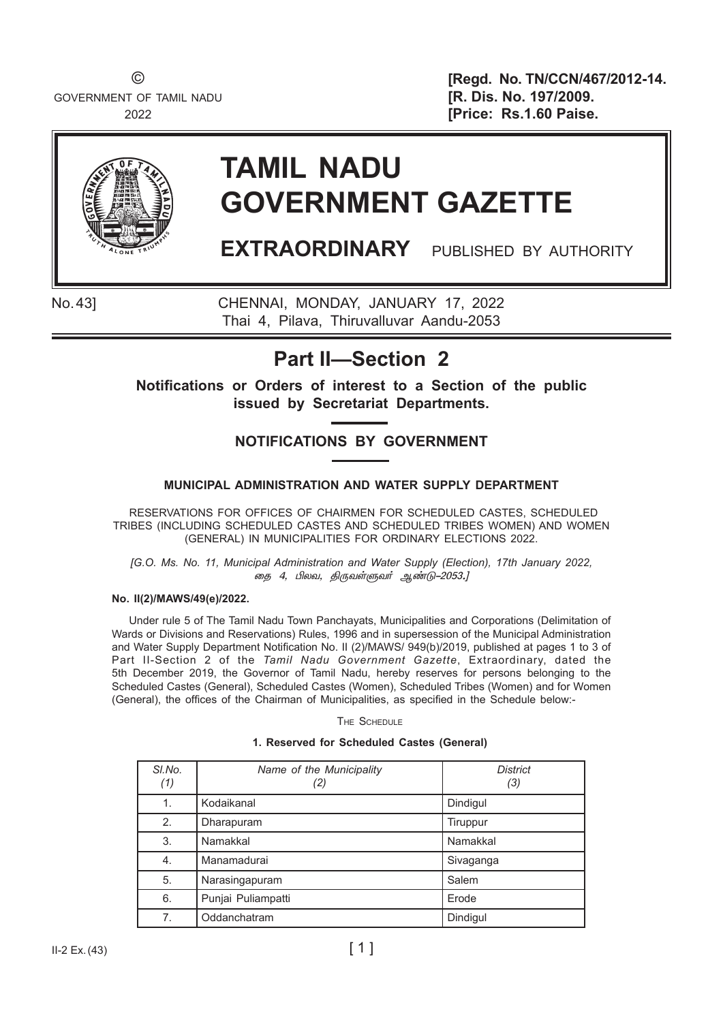GOVERNMENT OF TAMIL NADU **[R. Dis. No. 197/2009.** 

© **[Regd. No. TN/CCN/467/2012-14.** 2022 **[Price: Rs.1.60 Paise.** 



# **TAMIL NADU GOVERNMENT GAZETTE**

**EXTRAORDINARY** PUBLISHED BY AUTHORITY

No.43] CHENNAI, MONDAY, JANUARY 17, 2022 Thai 4, Pilava, Thiruvalluvar Aandu-2053

### **Part II—Section 2**

**Notifications or Orders of interest to a Section of the public issued by Secretariat Departments.**

### **NOTIFICATIONS BY GOVERNMENT**

### **MUNICIPAL ADMINISTRATION AND WATER SUPPLY DEPARTMENT**

 RESERVATIONS FOR OFFICES OF CHAIRMEN FOR SCHEDULED CASTES, SCHEDULED TRIBES (INCLUDING SCHEDULED CASTES AND SCHEDULED TRIBES WOMEN) AND WOMEN (GENERAL) IN MUNICIPALITIES FOR ORDINARY ELECTIONS 2022.

*[G.O. Ms. No. 11, Municipal Administration and Water Supply (Election), 17th January 2022,* .<br>" தை 4, பிலவ, திருவள்ளுவர் ஆண்டு–2053.

#### **No. II(2)/MAWS/49(e)/2022.**

Under rule 5 of The Tamil Nadu Town Panchayats, Municipalities and Corporations (Delimitation of Wards or Divisions and Reservations) Rules, 1996 and in supersession of the Municipal Administration and Water Supply Department Notification No. II (2)/MAWS/ 949(b)/2019, published at pages 1 to 3 of Part II-Section 2 of the *Tamil Nadu Government Gazette*, Extraordinary, dated the 5th December 2019, the Governor of Tamil Nadu, hereby reserves for persons belonging to the Scheduled Castes (General), Scheduled Castes (Women), Scheduled Tribes (Women) and for Women (General), the offices of the Chairman of Municipalities, as specified in the Schedule below:-

The Schedule

| 1. Reserved for Scheduled Castes (General) |  |  |  |  |
|--------------------------------------------|--|--|--|--|
|--------------------------------------------|--|--|--|--|

| SI.No.<br>(1) | Name of the Municipality<br>(2) | <b>District</b><br>(3) |
|---------------|---------------------------------|------------------------|
| $\mathbf 1$ . | Kodaikanal                      | Dindigul               |
| 2.            | Dharapuram                      | Tiruppur               |
| 3.            | Namakkal                        | Namakkal               |
| 4.            | Manamadurai                     | Sivaganga              |
| 5.            | Narasingapuram                  | Salem                  |
| 6.            | Punjai Puliampatti              | Erode                  |
| 7.            | Oddanchatram                    | Dindigul               |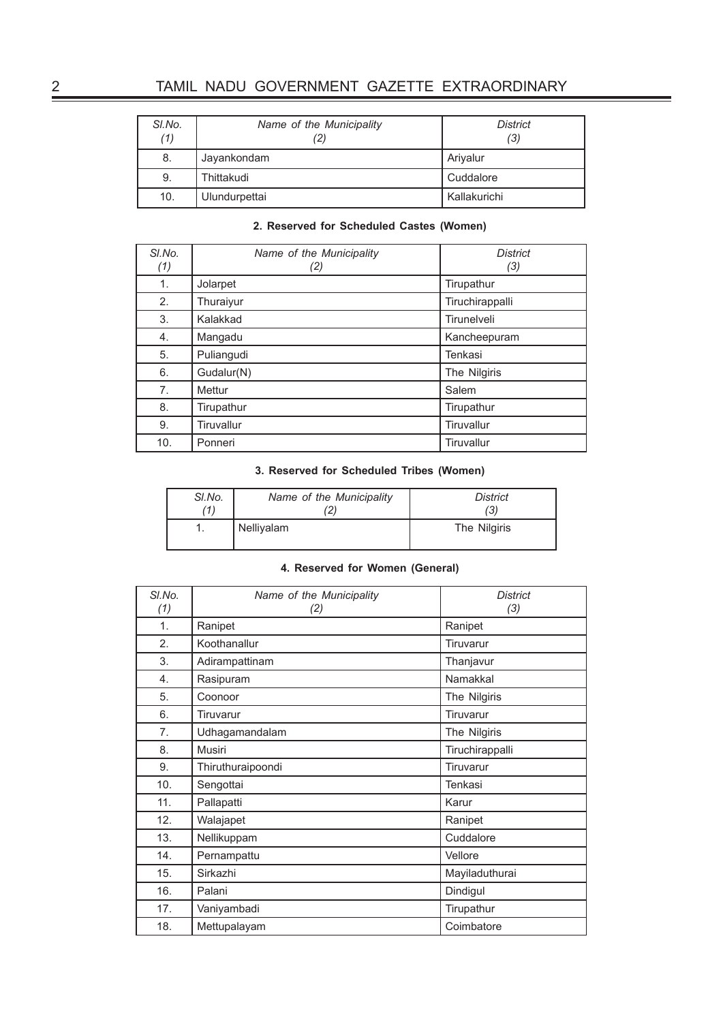| SI.No.<br>(1) | Name of the Municipality<br>(2) | <b>District</b><br>(3) |
|---------------|---------------------------------|------------------------|
| 8.            | Jayankondam                     | Arivalur               |
| 9.            | Thittakudi                      | Cuddalore              |
| 10.           | Ulundurpettai                   | Kallakurichi           |

#### **2. Reserved for Scheduled Castes (Women)**

| SI.No.<br>(1) | Name of the Municipality<br>(2) | <b>District</b><br>(3) |
|---------------|---------------------------------|------------------------|
| 1.            | Jolarpet                        | Tirupathur             |
| 2.            | Thuraiyur                       | Tiruchirappalli        |
| 3.            | Kalakkad                        | Tirunelveli            |
| 4.            | Mangadu                         | Kancheepuram           |
| 5.            | Puliangudi                      | Tenkasi                |
| 6.            | Gudalur(N)                      | The Nilgiris           |
| 7.            | Mettur                          | Salem                  |
| 8.            | Tirupathur                      | Tirupathur             |
| 9.            | Tiruvallur                      | Tiruvallur             |
| 10.           | Ponneri                         | <b>Tiruvallur</b>      |

#### **3. Reserved for Scheduled Tribes (Women)**

| SI.No. | Name of the Municipality | <b>District</b> |
|--------|--------------------------|-----------------|
| (1)    | 21                       | (3)             |
|        | Nelliyalam               |                 |

#### **4. Reserved for Women (General)**

| SI.No. | Name of the Municipality | <b>District</b> |
|--------|--------------------------|-----------------|
| (1)    | (2)                      | (3)             |
| 1.     | Ranipet                  | Ranipet         |
| 2.     | Koothanallur             | Tiruvarur       |
| 3.     | Adirampattinam           | Thanjavur       |
| 4.     | Rasipuram                | Namakkal        |
| 5.     | Coonoor                  | The Nilgiris    |
| 6.     | Tiruvarur                | Tiruvarur       |
| 7.     | Udhagamandalam           | The Nilgiris    |
| 8.     | Musiri                   | Tiruchirappalli |
| 9.     | Thiruthuraipoondi        | Tiruvarur       |
| 10.    | Sengottai                | Tenkasi         |
| 11.    | Pallapatti               | Karur           |
| 12.    | Walajapet                | Ranipet         |
| 13.    | Nellikuppam              | Cuddalore       |
| 14.    | Pernampattu              | Vellore         |
| 15.    | Sirkazhi                 | Mayiladuthurai  |
| 16.    | Palani                   | Dindigul        |
| 17.    | Vaniyambadi              | Tirupathur      |
| 18.    | Mettupalayam             | Coimbatore      |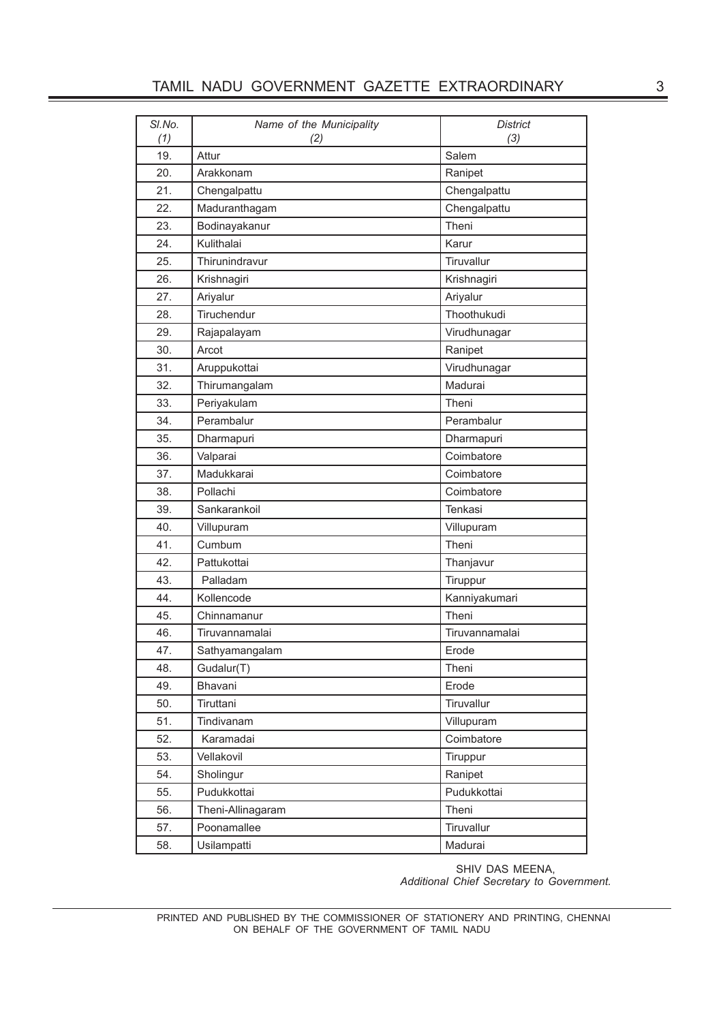| SI.No.<br>(1) | Name of the Municipality<br>(2) | <b>District</b><br>(3) |  |  |  |
|---------------|---------------------------------|------------------------|--|--|--|
| 19.           | Attur                           | Salem                  |  |  |  |
| 20.           | Arakkonam                       | Ranipet                |  |  |  |
| 21.           | Chengalpattu                    | Chengalpattu           |  |  |  |
| 22.           | Maduranthagam                   | Chengalpattu           |  |  |  |
| 23.           | Bodinayakanur                   | Theni                  |  |  |  |
| 24.           | Kulithalai                      | Karur                  |  |  |  |
| 25.           | Thirunindravur                  | Tiruvallur             |  |  |  |
| 26.           | Krishnagiri                     | Krishnagiri            |  |  |  |
| 27.           | Ariyalur                        | Ariyalur               |  |  |  |
| 28.           | Tiruchendur                     | Thoothukudi            |  |  |  |
| 29.           | Rajapalayam                     | Virudhunagar           |  |  |  |
| 30.           | Arcot                           | Ranipet                |  |  |  |
| 31.           | Aruppukottai                    | Virudhunagar           |  |  |  |
| 32.           | Thirumangalam                   | Madurai                |  |  |  |
| 33.           | Periyakulam                     | Theni                  |  |  |  |
| 34.           | Perambalur                      | Perambalur             |  |  |  |
| 35.           | Dharmapuri                      | Dharmapuri             |  |  |  |
| 36.           | Valparai                        | Coimbatore             |  |  |  |
| 37.           | Madukkarai                      | Coimbatore             |  |  |  |
| 38.           | Pollachi                        | Coimbatore             |  |  |  |
| 39.           | Sankarankoil                    | Tenkasi                |  |  |  |
| 40.           | Villupuram                      | Villupuram             |  |  |  |
| 41.           | Cumbum                          | Theni                  |  |  |  |
| 42.           | Pattukottai                     | Thanjavur              |  |  |  |
| 43.           | Palladam                        | Tiruppur               |  |  |  |
| 44.           | Kollencode                      | Kanniyakumari          |  |  |  |
| 45.           | Chinnamanur                     | Theni                  |  |  |  |
| 46.           | Tiruvannamalai                  | Tiruvannamalai         |  |  |  |
| 47.           | Sathyamangalam                  | Erode                  |  |  |  |
| 48.           | Gudalur(T)                      | Theni                  |  |  |  |
| 49.           | Bhavani                         | Erode                  |  |  |  |
| 50.           | Tiruttani                       | Tiruvallur             |  |  |  |
| 51.           | Tindivanam                      | Villupuram             |  |  |  |
| 52.           | Karamadai                       | Coimbatore             |  |  |  |
| 53.           | Vellakovil                      | Tiruppur               |  |  |  |
| 54.           | Sholingur                       | Ranipet                |  |  |  |
| 55.           | Pudukkottai                     | Pudukkottai            |  |  |  |
| 56.           | Theni-Allinagaram               | Theni                  |  |  |  |
| 57.           | Poonamallee                     | Tiruvallur             |  |  |  |
| 58.           | Usilampatti                     | Madurai                |  |  |  |

SHIV DAS MEENA, *Additional Chief Secretary to Government.*

PRINTED AND PUBLISHED BY THE COMMISSIONER OF STATIONERY AND PRINTING, CHENNAI ON BEHALF OF THE GOVERNMENT OF TAMIL NADU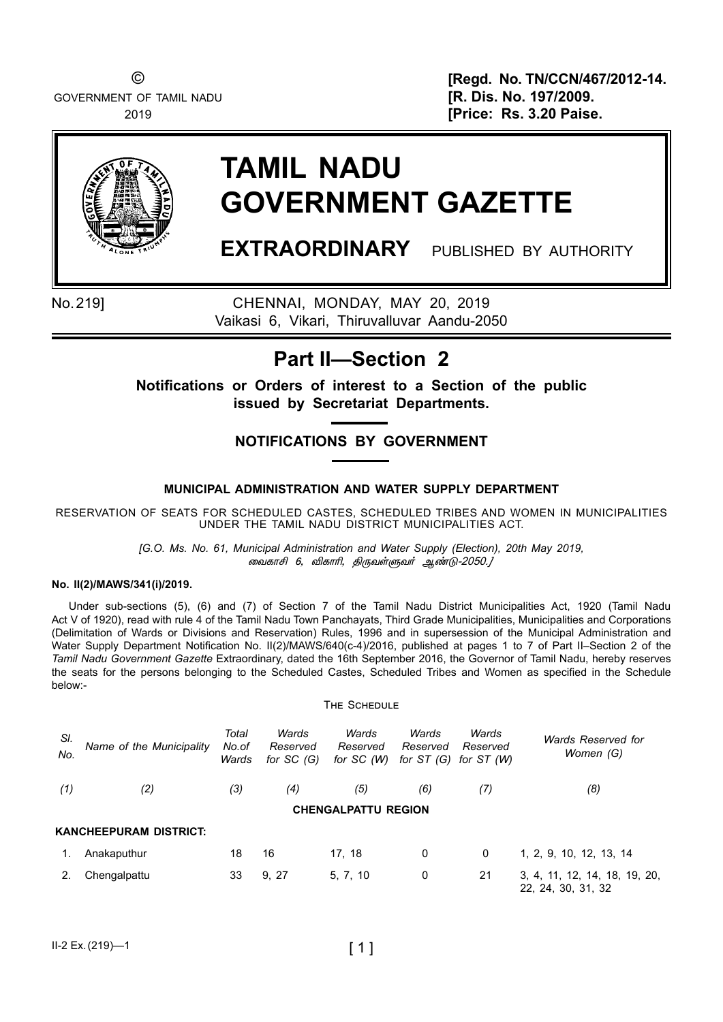GOVERNMENT OF TAMIL NADU **1999 [R. Dis. No. 197/2009.** 

© **[Regd. No. TN/CCN/467/2012-14.** 2019 **[Price: Rs. 3.20 Paise.** 



# **TAMIL NADU GOVERNMENT GAZETTE**

**EXTRAORDINARY** PUBLISHED BY AUTHORITY

No.219] chennai, monDAY, May 20, 2019 Vaikasi 6, Vikari, Thiruvalluvar Aandu-2050

### **Part II—Section 2**

**Notifications or Orders of interest to a Section of the public issued by Secretariat Departments.**

### **NotificationS by government**

#### **MUNICIPAL ADMINISTRATION AND WATER SUPPLY DEPARTMENT**

RESERVATION OF SEATS FOR SCHEDULED CASTES, SCHEDULED TRIBES AND WOMEN IN MUNICIPALITIES UNDER THE TAMIL NADU DISTRICT MUNICIPALITIES ACT.

> *[G.O. Ms. No. 61, municipal Administration and Water Supply (Election), 20th May 2019,*  ¬õè£C 6, Mè£K, F¼õœÀõ˜ ݇´*-*2050*.]*

#### **No. II(2)/MAWS/341(i)/2019.**

Under sub-sections (5), (6) and (7) of Section 7 of the Tamil Nadu District Municipalities Act, 1920 (Tamil Nadu Act V of 1920), read with rule 4 of the Tamil Nadu Town Panchayats, Third Grade Municipalities, Municipalities and Corporations (Delimitation of Wards or Divisions and Reservation) Rules, 1996 and in supersession of the Municipal Administration and Water Supply Department Notification No. II(2)/MAWS/640(c-4)/2016, published at pages 1 to 7 of Part II–Section 2 of the *Tamil Nadu Government Gazette* Extraordinary, dated the 16th September 2016, the Governor of Tamil Nadu, hereby reserves the seats for the persons belonging to the Scheduled Castes, Scheduled Tribes and Women as specified in the Schedule below:-

The Schedule

|            |                               |                         |                                  | THE OUTLOULE                     |                                  |                                 |                                                     |
|------------|-------------------------------|-------------------------|----------------------------------|----------------------------------|----------------------------------|---------------------------------|-----------------------------------------------------|
| SI.<br>No. | Name of the Municipality      | Total<br>No.of<br>Wards | Wards<br>Reserved<br>for $SC(G)$ | Wards<br>Reserved<br>for $SC(W)$ | Wards<br>Reserved<br>for $ST(G)$ | Wards<br>Reserved<br>for ST (W) | Wards Reserved for<br>Women (G)                     |
| (1)        | (2)                           | (3)                     | (4)                              | (5)                              | (6)                              | (7)                             | (8)                                                 |
|            |                               |                         |                                  | <b>CHENGALPATTU REGION</b>       |                                  |                                 |                                                     |
|            | <b>KANCHEEPURAM DISTRICT:</b> |                         |                                  |                                  |                                  |                                 |                                                     |
| 1.         | Anakaputhur                   | 18                      | 16                               | 17.18                            | 0                                | 0                               | 1, 2, 9, 10, 12, 13, 14                             |
|            | Chengalpattu                  | 33                      | 9, 27                            | 5, 7, 10                         | 0                                | 21                              | 3, 4, 11, 12, 14, 18, 19, 20,<br>22, 24, 30, 31, 32 |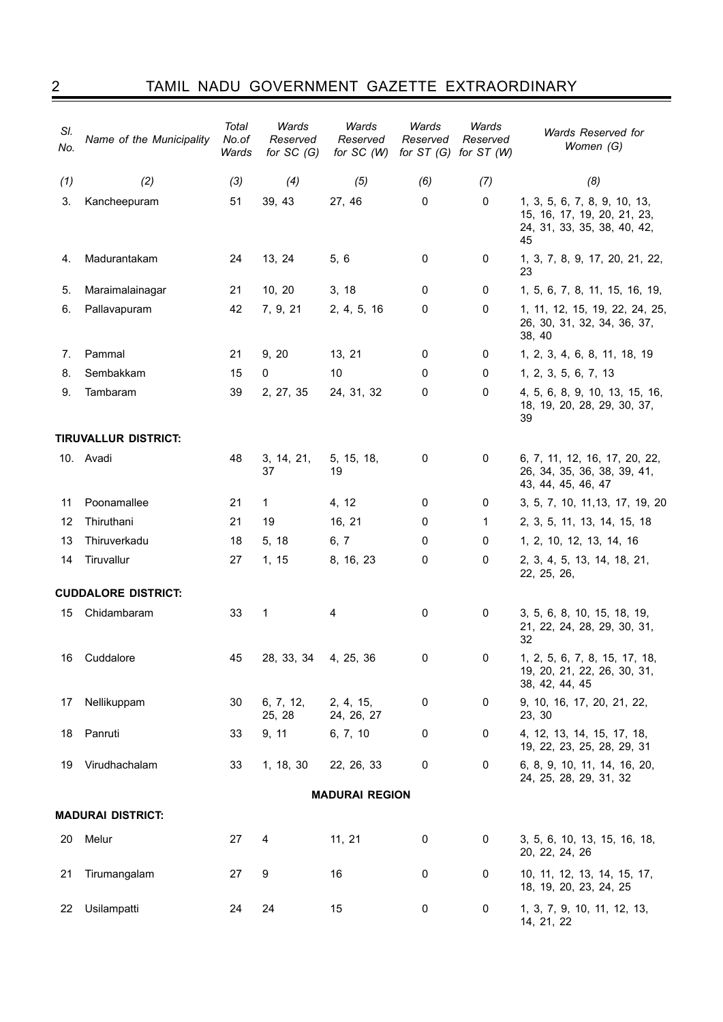2 Tamil nadu government gazette extraordinary

| SI.<br>No. | Name of the Municipality    | Total<br>No.of<br>Wards | Wards<br>Reserved<br>for $SC(G)$ | Wards<br>Reserved<br>for $SC(W)$ | Wards<br>Reserved<br>for $ST(G)$ | Wards<br>Reserved<br>for $ST(W)$ | Wards Reserved for<br>Women (G)                                                                  |  |  |
|------------|-----------------------------|-------------------------|----------------------------------|----------------------------------|----------------------------------|----------------------------------|--------------------------------------------------------------------------------------------------|--|--|
| (1)        | (2)                         | (3)                     | (4)                              | (5)                              | (6)                              | (7)                              | (8)                                                                                              |  |  |
| 3.         | Kancheepuram                | 51                      | 39, 43                           | 27, 46                           | 0                                | 0                                | 1, 3, 5, 6, 7, 8, 9, 10, 13,<br>15, 16, 17, 19, 20, 21, 23,<br>24, 31, 33, 35, 38, 40, 42,<br>45 |  |  |
| 4.         | Madurantakam                | 24                      | 13, 24                           | 5, 6                             | 0                                | 0                                | 1, 3, 7, 8, 9, 17, 20, 21, 22,<br>23                                                             |  |  |
| 5.         | Maraimalainagar             | 21                      | 10, 20                           | 3, 18                            | 0                                | 0                                | 1, 5, 6, 7, 8, 11, 15, 16, 19,                                                                   |  |  |
| 6.         | Pallavapuram                | 42                      | 7, 9, 21                         | 2, 4, 5, 16                      | $\mathbf 0$                      | $\mathbf 0$                      | 1, 11, 12, 15, 19, 22, 24, 25,<br>26, 30, 31, 32, 34, 36, 37,<br>38, 40                          |  |  |
| 7.         | Pammal                      | 21                      | 9, 20                            | 13, 21                           | 0                                | 0                                | 1, 2, 3, 4, 6, 8, 11, 18, 19                                                                     |  |  |
| 8.         | Sembakkam                   | 15                      | 0                                | 10                               | 0                                | 0                                | 1, 2, 3, 5, 6, 7, 13                                                                             |  |  |
| 9.         | Tambaram                    | 39                      | 2, 27, 35                        | 24, 31, 32                       | 0                                | $\mathbf 0$                      | 4, 5, 6, 8, 9, 10, 13, 15, 16,<br>18, 19, 20, 28, 29, 30, 37,<br>39                              |  |  |
|            | <b>TIRUVALLUR DISTRICT:</b> |                         |                                  |                                  |                                  |                                  |                                                                                                  |  |  |
|            | 10. Avadi                   | 48                      | 3, 14, 21,<br>37                 | 5, 15, 18,<br>19                 | 0                                | 0                                | 6, 7, 11, 12, 16, 17, 20, 22,<br>26, 34, 35, 36, 38, 39, 41,<br>43, 44, 45, 46, 47               |  |  |
| 11         | Poonamallee                 | 21                      | 1                                | 4, 12                            | 0                                | 0                                | 3, 5, 7, 10, 11, 13, 17, 19, 20                                                                  |  |  |
| 12         | Thiruthani                  | 21                      | 19                               | 16, 21                           | 0                                | 1                                | 2, 3, 5, 11, 13, 14, 15, 18                                                                      |  |  |
| 13         | Thiruverkadu                | 18                      | 5, 18                            | 6, 7                             | 0                                | 0                                | 1, 2, 10, 12, 13, 14, 16                                                                         |  |  |
| 14         | Tiruvallur                  | 27                      | 1, 15                            | 8, 16, 23                        | 0                                | 0                                | 2, 3, 4, 5, 13, 14, 18, 21,<br>22, 25, 26,                                                       |  |  |
|            | <b>CUDDALORE DISTRICT:</b>  |                         |                                  |                                  |                                  |                                  |                                                                                                  |  |  |
| 15         | Chidambaram                 | 33                      | 1                                | 4                                | 0                                | 0                                | 3, 5, 6, 8, 10, 15, 18, 19,<br>21, 22, 24, 28, 29, 30, 31,<br>32                                 |  |  |
|            | 16 Cuddalore                | 45                      | 28, 33, 34                       | 4, 25, 36                        | 0                                | 0                                | 1, 2, 5, 6, 7, 8, 15, 17, 18,<br>19, 20, 21, 22, 26, 30, 31,<br>38, 42, 44, 45                   |  |  |
| 17         | Nellikuppam                 | 30                      | 6, 7, 12,<br>25, 28              | 2, 4, 15,<br>24, 26, 27          | 0                                | 0                                | 9, 10, 16, 17, 20, 21, 22,<br>23, 30                                                             |  |  |
| 18         | Panruti                     | 33                      | 9, 11                            | 6, 7, 10                         | 0                                | 0                                | 4, 12, 13, 14, 15, 17, 18,<br>19, 22, 23, 25, 28, 29, 31                                         |  |  |
| 19         | Virudhachalam               | 33                      | 1, 18, 30                        | 22, 26, 33                       | 0                                | 0                                | 6, 8, 9, 10, 11, 14, 16, 20,<br>24, 25, 28, 29, 31, 32                                           |  |  |
|            | <b>MADURAI REGION</b>       |                         |                                  |                                  |                                  |                                  |                                                                                                  |  |  |
|            | <b>MADURAI DISTRICT:</b>    |                         |                                  |                                  |                                  |                                  |                                                                                                  |  |  |
| 20         | Melur                       | 27                      | 4                                | 11, 21                           | 0                                | 0                                | 3, 5, 6, 10, 13, 15, 16, 18,<br>20, 22, 24, 26                                                   |  |  |
| 21         | Tirumangalam                | 27                      | 9                                | 16                               | 0                                | 0                                | 10, 11, 12, 13, 14, 15, 17,<br>18, 19, 20, 23, 24, 25                                            |  |  |
| 22         | Usilampatti                 | 24                      | 24                               | 15                               | 0                                | 0                                | 1, 3, 7, 9, 10, 11, 12, 13,<br>14, 21, 22                                                        |  |  |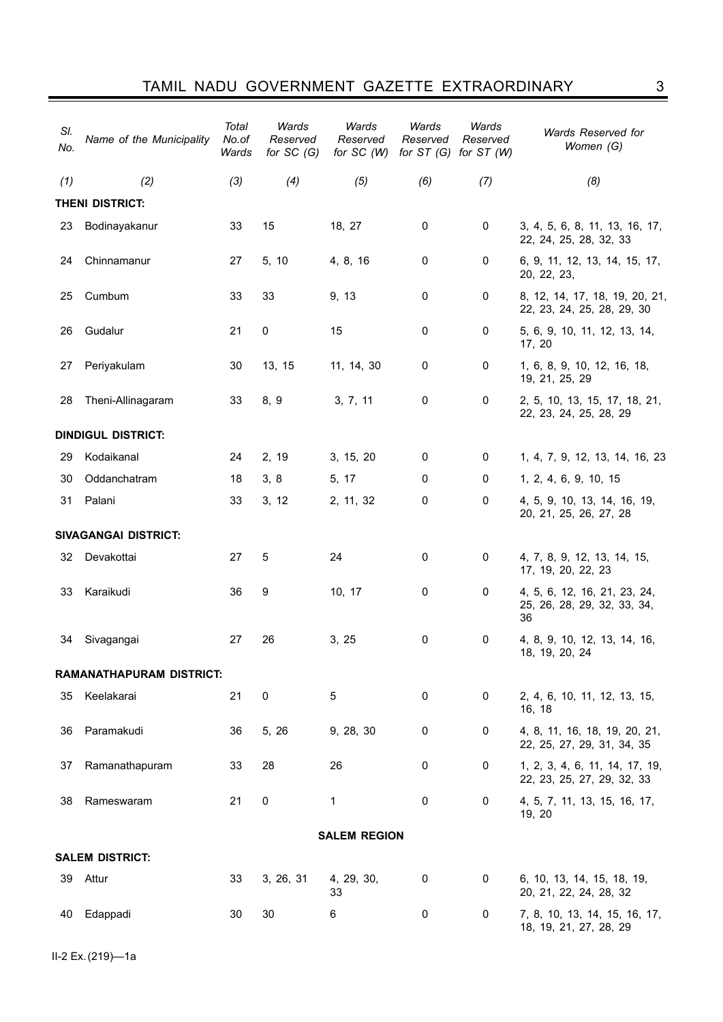| SI.<br>No. | Name of the Municipality        | Total<br>No.of<br>Wards | Wards<br>Reserved<br>for $SC(G)$ | Wards<br>Reserved<br>for $SC(W)$ | Wards<br>Reserved | Wards<br>Reserved<br>for $ST(G)$ for $ST(W)$ | Wards Reserved for<br>Women (G)                                   |  |  |
|------------|---------------------------------|-------------------------|----------------------------------|----------------------------------|-------------------|----------------------------------------------|-------------------------------------------------------------------|--|--|
| (1)        | (2)                             | (3)                     | (4)                              | (5)                              | (6)               | (7)                                          | (8)                                                               |  |  |
|            | <b>THENI DISTRICT:</b>          |                         |                                  |                                  |                   |                                              |                                                                   |  |  |
| 23         | Bodinayakanur                   | 33                      | 15                               | 18, 27                           | 0                 | 0                                            | 3, 4, 5, 6, 8, 11, 13, 16, 17,<br>22, 24, 25, 28, 32, 33          |  |  |
| 24         | Chinnamanur                     | 27                      | 5, 10                            | 4, 8, 16                         | 0                 | 0                                            | 6, 9, 11, 12, 13, 14, 15, 17,<br>20, 22, 23,                      |  |  |
| 25         | Cumbum                          | 33                      | 33                               | 9, 13                            | 0                 | 0                                            | 8, 12, 14, 17, 18, 19, 20, 21,<br>22, 23, 24, 25, 28, 29, 30      |  |  |
| 26         | Gudalur                         | 21                      | $\mathbf 0$                      | 15                               | 0                 | 0                                            | 5, 6, 9, 10, 11, 12, 13, 14,<br>17, 20                            |  |  |
| 27         | Periyakulam                     | 30                      | 13, 15                           | 11, 14, 30                       | 0                 | 0                                            | 1, 6, 8, 9, 10, 12, 16, 18,<br>19, 21, 25, 29                     |  |  |
| 28         | Theni-Allinagaram               | 33                      | 8, 9                             | 3, 7, 11                         | 0                 | 0                                            | 2, 5, 10, 13, 15, 17, 18, 21,<br>22, 23, 24, 25, 28, 29           |  |  |
|            | <b>DINDIGUL DISTRICT:</b>       |                         |                                  |                                  |                   |                                              |                                                                   |  |  |
| 29         | Kodaikanal                      | 24                      | 2, 19                            | 3, 15, 20                        | 0                 | 0                                            | 1, 4, 7, 9, 12, 13, 14, 16, 23                                    |  |  |
| 30         | Oddanchatram                    | 18                      | 3, 8                             | 5, 17                            | 0                 | 0                                            | 1, 2, 4, 6, 9, 10, 15                                             |  |  |
| 31         | Palani                          | 33                      | 3, 12                            | 2, 11, 32                        | 0                 | 0                                            | 4, 5, 9, 10, 13, 14, 16, 19,<br>20, 21, 25, 26, 27, 28            |  |  |
|            | <b>SIVAGANGAI DISTRICT:</b>     |                         |                                  |                                  |                   |                                              |                                                                   |  |  |
| 32         | Devakottai                      | 27                      | 5                                | 24                               | 0                 | 0                                            | 4, 7, 8, 9, 12, 13, 14, 15,<br>17, 19, 20, 22, 23                 |  |  |
| 33         | Karaikudi                       | 36                      | 9                                | 10, 17                           | 0                 | 0                                            | 4, 5, 6, 12, 16, 21, 23, 24,<br>25, 26, 28, 29, 32, 33, 34,<br>36 |  |  |
| 34         | Sivagangai                      | 27                      | 26                               | 3, 25                            | $\mathbf 0$       | 0                                            | 4, 8, 9, 10, 12, 13, 14, 16,<br>18, 19, 20, 24                    |  |  |
|            | <b>RAMANATHAPURAM DISTRICT:</b> |                         |                                  |                                  |                   |                                              |                                                                   |  |  |
| 35         | Keelakarai                      | 21                      | 0                                | 5                                | 0                 | 0                                            | 2, 4, 6, 10, 11, 12, 13, 15,<br>16, 18                            |  |  |
| 36         | Paramakudi                      | 36                      | 5, 26                            | 9, 28, 30                        | 0                 | 0                                            | 4, 8, 11, 16, 18, 19, 20, 21,<br>22, 25, 27, 29, 31, 34, 35       |  |  |
| 37         | Ramanathapuram                  | 33                      | 28                               | 26                               | 0                 | 0                                            | 1, 2, 3, 4, 6, 11, 14, 17, 19,<br>22, 23, 25, 27, 29, 32, 33      |  |  |
| 38         | Rameswaram                      | 21                      | $\pmb{0}$                        | 1                                | 0                 | $\mathbf 0$                                  | 4, 5, 7, 11, 13, 15, 16, 17,<br>19, 20                            |  |  |
|            | <b>SALEM REGION</b>             |                         |                                  |                                  |                   |                                              |                                                                   |  |  |
|            | <b>SALEM DISTRICT:</b>          |                         |                                  |                                  |                   |                                              |                                                                   |  |  |
| 39         | Attur                           | 33                      | 3, 26, 31                        | 4, 29, 30,<br>33                 | 0                 | 0                                            | 6, 10, 13, 14, 15, 18, 19,<br>20, 21, 22, 24, 28, 32              |  |  |
| 40         | Edappadi                        | 30                      | 30                               | 6                                | 0                 | 0                                            | 7, 8, 10, 13, 14, 15, 16, 17,<br>18, 19, 21, 27, 28, 29           |  |  |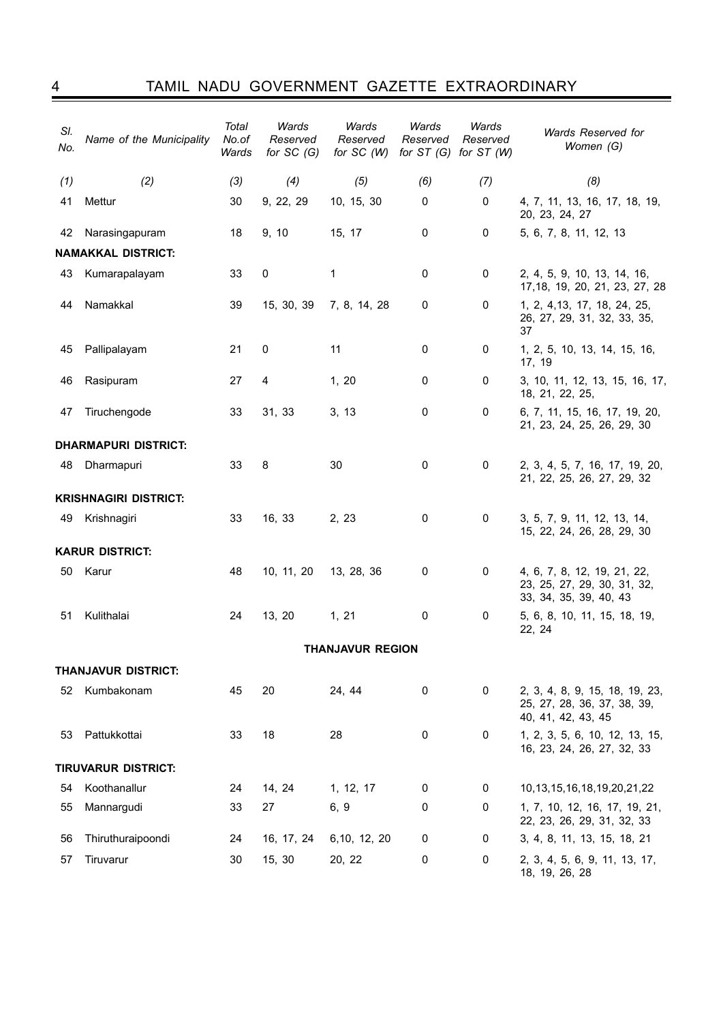4 Tamil nadu government gazette extraordinary

| SI.<br>No.      | Name of the Municipality     | Total<br>No.of<br>Wards | Wards<br>Reserved<br>for $SC(G)$ | Wards<br>Reserved<br>for $SC(W)$ | Wards<br>Reserved<br>for $ST(G)$ | Wards<br>Reserved<br>for $ST(W)$ | Wards Reserved for<br>Women (G)                                                      |
|-----------------|------------------------------|-------------------------|----------------------------------|----------------------------------|----------------------------------|----------------------------------|--------------------------------------------------------------------------------------|
| (1)             | (2)                          | (3)                     | (4)                              | (5)                              | (6)                              | (7)                              | (8)                                                                                  |
| 41              | Mettur                       | 30                      | 9, 22, 29                        | 10, 15, 30                       | 0                                | 0                                | 4, 7, 11, 13, 16, 17, 18, 19,<br>20, 23, 24, 27                                      |
| 42              | Narasingapuram               | 18                      | 9, 10                            | 15, 17                           | 0                                | 0                                | 5, 6, 7, 8, 11, 12, 13                                                               |
|                 | <b>NAMAKKAL DISTRICT:</b>    |                         |                                  |                                  |                                  |                                  |                                                                                      |
| 43              | Kumarapalayam                | 33                      | 0                                | 1                                | $\pmb{0}$                        | 0                                | 2, 4, 5, 9, 10, 13, 14, 16,<br>17, 18, 19, 20, 21, 23, 27, 28                        |
| 44              | Namakkal                     | 39                      | 15, 30, 39                       | 7, 8, 14, 28                     | 0                                | 0                                | 1, 2, 4, 13, 17, 18, 24, 25,<br>26, 27, 29, 31, 32, 33, 35,<br>37                    |
| 45              | Pallipalayam                 | 21                      | 0                                | 11                               | 0                                | 0                                | 1, 2, 5, 10, 13, 14, 15, 16,<br>17, 19                                               |
| 46              | Rasipuram                    | 27                      | 4                                | 1, 20                            | 0                                | 0                                | 3, 10, 11, 12, 13, 15, 16, 17,<br>18, 21, 22, 25,                                    |
| 47              | Tiruchengode                 | 33                      | 31, 33                           | 3, 13                            | 0                                | $\mathbf 0$                      | 6, 7, 11, 15, 16, 17, 19, 20,<br>21, 23, 24, 25, 26, 29, 30                          |
|                 | <b>DHARMAPURI DISTRICT:</b>  |                         |                                  |                                  |                                  |                                  |                                                                                      |
| 48              | Dharmapuri                   | 33                      | 8                                | 30                               | 0                                | 0                                | 2, 3, 4, 5, 7, 16, 17, 19, 20,<br>21, 22, 25, 26, 27, 29, 32                         |
|                 | <b>KRISHNAGIRI DISTRICT:</b> |                         |                                  |                                  |                                  |                                  |                                                                                      |
| 49              | Krishnagiri                  | 33                      | 16, 33                           | 2, 23                            | 0                                | 0                                | 3, 5, 7, 9, 11, 12, 13, 14,<br>15, 22, 24, 26, 28, 29, 30                            |
|                 | <b>KARUR DISTRICT:</b>       |                         |                                  |                                  |                                  |                                  |                                                                                      |
| 50              | Karur                        | 48                      | 10, 11, 20                       | 13, 28, 36                       | 0                                | 0                                | 4, 6, 7, 8, 12, 19, 21, 22,<br>23, 25, 27, 29, 30, 31, 32,<br>33, 34, 35, 39, 40, 43 |
| 51              | Kulithalai                   | 24                      | 13, 20                           | 1, 21                            | 0                                | 0                                | 5, 6, 8, 10, 11, 15, 18, 19,<br>22, 24                                               |
|                 |                              |                         |                                  | <b>THANJAVUR REGION</b>          |                                  |                                  |                                                                                      |
|                 | <b>THANJAVUR DISTRICT:</b>   |                         |                                  |                                  |                                  |                                  |                                                                                      |
| 52 <sub>2</sub> | Kumbakonam                   | 45                      | 20                               | 24, 44                           | 0                                | 0                                | 2, 3, 4, 8, 9, 15, 18, 19, 23,<br>25, 27, 28, 36, 37, 38, 39,<br>40, 41, 42, 43, 45  |
| 53              | Pattukkottai                 | 33                      | 18                               | 28                               | 0                                | 0                                | 1, 2, 3, 5, 6, 10, 12, 13, 15,<br>16, 23, 24, 26, 27, 32, 33                         |
|                 | TIRUVARUR DISTRICT:          |                         |                                  |                                  |                                  |                                  |                                                                                      |
| 54              | Koothanallur                 | 24                      | 14, 24                           | 1, 12, 17                        | 0                                | 0                                | 10, 13, 15, 16, 18, 19, 20, 21, 22                                                   |
| 55              | Mannargudi                   | 33                      | 27                               | 6, 9                             | 0                                | 0                                | 1, 7, 10, 12, 16, 17, 19, 21,<br>22, 23, 26, 29, 31, 32, 33                          |
| 56              | Thiruthuraipoondi            | 24                      | 16, 17, 24                       | 6,10, 12, 20                     | 0                                | 0                                | 3, 4, 8, 11, 13, 15, 18, 21                                                          |
| 57              | Tiruvarur                    | 30                      | 15, 30                           | 20, 22                           | 0                                | 0                                | 2, 3, 4, 5, 6, 9, 11, 13, 17,<br>18, 19, 26, 28                                      |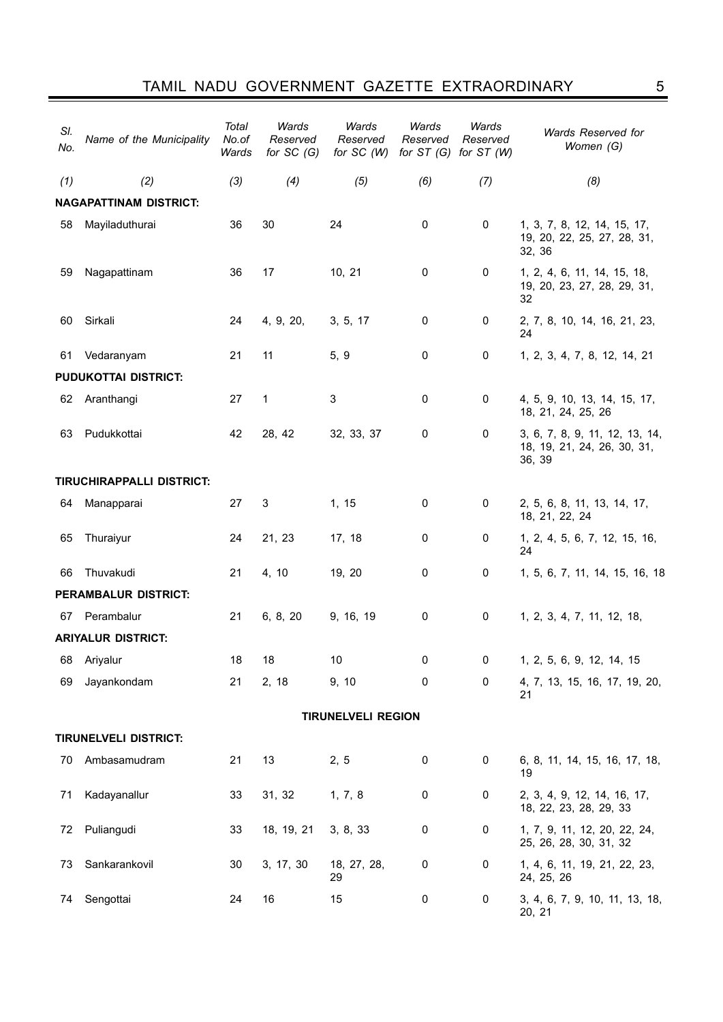| SI.<br>No. | Name of the Municipality      | Total<br>No.of<br>Wards | Wards<br>Reserved<br>for $SC(G)$ | Wards<br>Reserved<br>for $SC(W)$ | Wards<br>Reserved | Wards<br>Reserved<br>for $ST(G)$ for $ST(W)$ | Wards Reserved for<br>Women (G)                                         |
|------------|-------------------------------|-------------------------|----------------------------------|----------------------------------|-------------------|----------------------------------------------|-------------------------------------------------------------------------|
| (1)        | (2)                           | (3)                     | (4)                              | (5)                              | (6)               | (7)                                          | (8)                                                                     |
|            | <b>NAGAPATTINAM DISTRICT:</b> |                         |                                  |                                  |                   |                                              |                                                                         |
| 58         | Mayiladuthurai                | 36                      | 30                               | 24                               | $\mathbf 0$       | $\mathbf 0$                                  | 1, 3, 7, 8, 12, 14, 15, 17,<br>19, 20, 22, 25, 27, 28, 31,<br>32, 36    |
| 59         | Nagapattinam                  | 36                      | 17                               | 10, 21                           | $\mathbf 0$       | 0                                            | 1, 2, 4, 6, 11, 14, 15, 18,<br>19, 20, 23, 27, 28, 29, 31,<br>32        |
| 60         | Sirkali                       | 24                      | 4, 9, 20,                        | 3, 5, 17                         | $\mathbf 0$       | 0                                            | 2, 7, 8, 10, 14, 16, 21, 23,<br>24                                      |
| 61         | Vedaranyam                    | 21                      | 11                               | 5, 9                             | 0                 | 0                                            | 1, 2, 3, 4, 7, 8, 12, 14, 21                                            |
|            | <b>PUDUKOTTAI DISTRICT:</b>   |                         |                                  |                                  |                   |                                              |                                                                         |
| 62         | Aranthangi                    | 27                      | 1                                | 3                                | 0                 | 0                                            | 4, 5, 9, 10, 13, 14, 15, 17,<br>18, 21, 24, 25, 26                      |
| 63         | Pudukkottai                   | 42                      | 28, 42                           | 32, 33, 37                       | 0                 | 0                                            | 3, 6, 7, 8, 9, 11, 12, 13, 14,<br>18, 19, 21, 24, 26, 30, 31,<br>36, 39 |
|            | TIRUCHIRAPPALLI DISTRICT:     |                         |                                  |                                  |                   |                                              |                                                                         |
| 64         | Manapparai                    | 27                      | 3                                | 1, 15                            | $\mathbf 0$       | 0                                            | 2, 5, 6, 8, 11, 13, 14, 17,<br>18, 21, 22, 24                           |
| 65         | Thuraiyur                     | 24                      | 21, 23                           | 17, 18                           | $\mathbf 0$       | 0                                            | 1, 2, 4, 5, 6, 7, 12, 15, 16,<br>24                                     |
| 66         | Thuvakudi                     | 21                      | 4, 10                            | 19, 20                           | 0                 | 0                                            | 1, 5, 6, 7, 11, 14, 15, 16, 18                                          |
|            | PERAMBALUR DISTRICT:          |                         |                                  |                                  |                   |                                              |                                                                         |
| 67         | Perambalur                    | 21                      | 6, 8, 20                         | 9, 16, 19                        | 0                 | 0                                            | 1, 2, 3, 4, 7, 11, 12, 18,                                              |
|            | <b>ARIYALUR DISTRICT:</b>     |                         |                                  |                                  |                   |                                              |                                                                         |
| 68         | Ariyalur                      | 18                      | 18                               | $10$                             | 0                 | 0                                            | 1, 2, 5, 6, 9, 12, 14, 15                                               |
| 69         | Jayankondam                   | 21                      | 2, 18                            | 9, 10                            | 0                 | 0                                            | 4, 7, 13, 15, 16, 17, 19, 20,<br>21                                     |
|            |                               |                         |                                  | <b>TIRUNELVELI REGION</b>        |                   |                                              |                                                                         |
|            | <b>TIRUNELVELI DISTRICT:</b>  |                         |                                  |                                  |                   |                                              |                                                                         |
| 70         | Ambasamudram                  | 21                      | 13                               | 2, 5                             | $\boldsymbol{0}$  | 0                                            | 6, 8, 11, 14, 15, 16, 17, 18,<br>19                                     |
| 71         | Kadayanallur                  | 33                      | 31, 32                           | 1, 7, 8                          | 0                 | 0                                            | 2, 3, 4, 9, 12, 14, 16, 17,<br>18, 22, 23, 28, 29, 33                   |
| 72         | Puliangudi                    | 33                      | 18, 19, 21                       | 3, 8, 33                         | 0                 | 0                                            | 1, 7, 9, 11, 12, 20, 22, 24,<br>25, 26, 28, 30, 31, 32                  |
| 73         | Sankarankovil                 | 30                      | 3, 17, 30                        | 18, 27, 28,<br>29                | 0                 | 0                                            | 1, 4, 6, 11, 19, 21, 22, 23,<br>24, 25, 26                              |
| 74         | Sengottai                     | 24                      | 16                               | 15                               | 0                 | 0                                            | 3, 4, 6, 7, 9, 10, 11, 13, 18,<br>20, 21                                |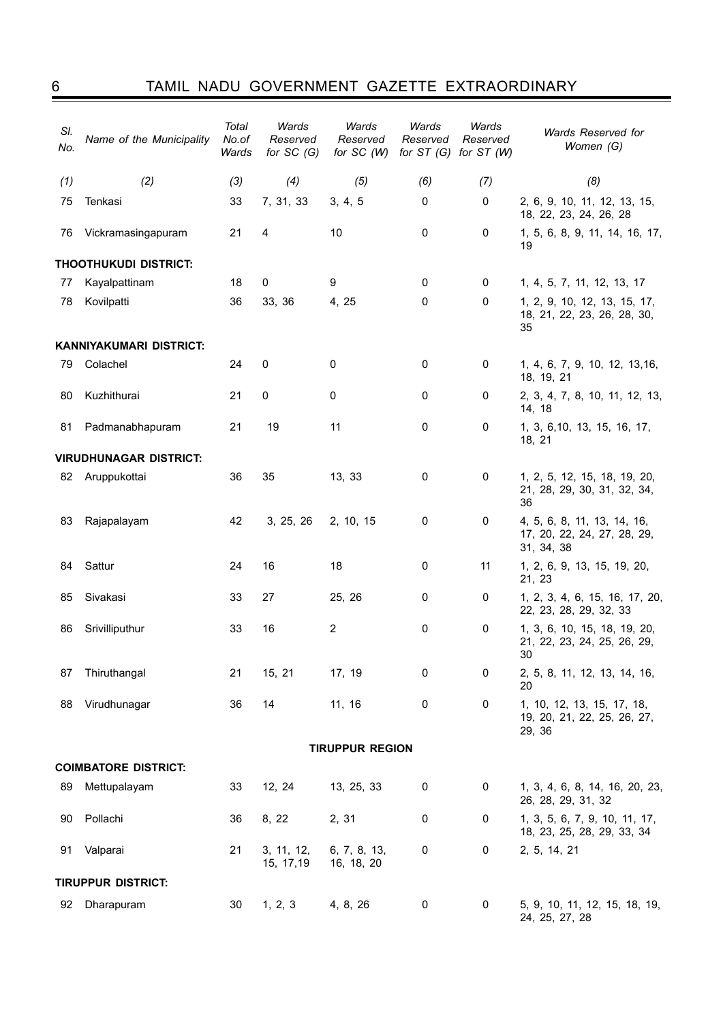## 6 Tamil nadu government gazette extraordinary

| SI.<br>No. | Name of the Municipality      | Total<br>No.of<br>Wards | Wards<br>Reserved<br>for $SC(G)$ | Wards<br>Reserved<br>for $SC(W)$ | Wards<br>Reserved<br>for $ST(G)$ | Wards<br>Reserved<br>for $ST(W)$ | Wards Reserved for<br>Women (G)                                          |
|------------|-------------------------------|-------------------------|----------------------------------|----------------------------------|----------------------------------|----------------------------------|--------------------------------------------------------------------------|
| (1)        | (2)                           | (3)                     | (4)                              | (5)                              | (6)                              | (7)                              | (8)                                                                      |
| 75         | Tenkasi                       | 33                      | 7, 31, 33                        | 3, 4, 5                          | 0                                | $\mathbf 0$                      | 2, 6, 9, 10, 11, 12, 13, 15,<br>18, 22, 23, 24, 26, 28                   |
| 76         | Vickramasingapuram            | 21                      | 4                                | 10                               | 0                                | 0                                | 1, 5, 6, 8, 9, 11, 14, 16, 17,<br>19                                     |
|            | THOOTHUKUDI DISTRICT:         |                         |                                  |                                  |                                  |                                  |                                                                          |
| 77         | Kayalpattinam                 | 18                      | 0                                | 9                                | 0                                | 0                                | 1, 4, 5, 7, 11, 12, 13, 17                                               |
| 78         | Kovilpatti                    | 36                      | 33, 36                           | 4, 25                            | $\mathbf 0$                      | 0                                | 1, 2, 9, 10, 12, 13, 15, 17,<br>18, 21, 22, 23, 26, 28, 30,<br>35        |
|            | KANNIYAKUMARI DISTRICT:       |                         |                                  |                                  |                                  |                                  |                                                                          |
| 79         | Colachel                      | 24                      | 0                                | 0                                | 0                                | 0                                | 1, 4, 6, 7, 9, 10, 12, 13, 16,<br>18, 19, 21                             |
| 80         | Kuzhithurai                   | 21                      | 0                                | 0                                | 0                                | 0                                | 2, 3, 4, 7, 8, 10, 11, 12, 13,<br>14, 18                                 |
| 81         | Padmanabhapuram               | 21                      | 19                               | 11                               | 0                                | 0                                | 1, 3, 6, 10, 13, 15, 16, 17,<br>18, 21                                   |
|            | <b>VIRUDHUNAGAR DISTRICT:</b> |                         |                                  |                                  |                                  |                                  |                                                                          |
| 82         | Aruppukottai                  | 36                      | 35                               | 13, 33                           | 0                                | 0                                | 1, 2, 5, 12, 15, 18, 19, 20,<br>21, 28, 29, 30, 31, 32, 34,<br>36        |
| 83         | Rajapalayam                   | 42                      | 3, 25, 26                        | 2, 10, 15                        | 0                                | 0                                | 4, 5, 6, 8, 11, 13, 14, 16,<br>17, 20, 22, 24, 27, 28, 29,<br>31, 34, 38 |
| 84         | Sattur                        | 24                      | 16                               | 18                               | $\mathbf 0$                      | 11                               | 1, 2, 6, 9, 13, 15, 19, 20,<br>21, 23                                    |
| 85         | Sivakasi                      | 33                      | 27                               | 25, 26                           | 0                                | 0                                | 1, 2, 3, 4, 6, 15, 16, 17, 20,<br>22, 23, 28, 29, 32, 33                 |
| 86         | Srivilliputhur                | 33                      | 16                               | $\overline{c}$                   | 0                                | 0                                | 1, 3, 6, 10, 15, 18, 19, 20,<br>21, 22, 23, 24, 25, 26, 29,<br>30        |
| 87         | Thiruthangal                  | 21                      | 15, 21                           | 17, 19                           | $\pmb{0}$                        | $\pmb{0}$                        | 2, 5, 8, 11, 12, 13, 14, 16,<br>20                                       |
| 88         | Virudhunagar                  | 36                      | 14                               | 11, 16                           | $\pmb{0}$                        | 0                                | 1, 10, 12, 13, 15, 17, 18,<br>19, 20, 21, 22, 25, 26, 27,<br>29, 36      |
|            |                               |                         |                                  | <b>TIRUPPUR REGION</b>           |                                  |                                  |                                                                          |
|            | <b>COIMBATORE DISTRICT:</b>   |                         |                                  |                                  |                                  |                                  |                                                                          |
| 89         | Mettupalayam                  | 33                      | 12, 24                           | 13, 25, 33                       | 0                                | 0                                | 1, 3, 4, 6, 8, 14, 16, 20, 23,<br>26, 28, 29, 31, 32                     |
| 90         | Pollachi                      | 36                      | 8, 22                            | 2, 31                            | 0                                | 0                                | 1, 3, 5, 6, 7, 9, 10, 11, 17,<br>18, 23, 25, 28, 29, 33, 34              |
| 91         | Valparai                      | 21                      | 3, 11, 12,<br>15, 17, 19         | 6, 7, 8, 13,<br>16, 18, 20       | 0                                | 0                                | 2, 5, 14, 21                                                             |
|            | <b>TIRUPPUR DISTRICT:</b>     |                         |                                  |                                  |                                  |                                  |                                                                          |
| 92         | Dharapuram                    | 30                      | 1, 2, 3                          | 4, 8, 26                         | 0                                | 0                                | 5, 9, 10, 11, 12, 15, 18, 19,<br>24, 25, 27, 28                          |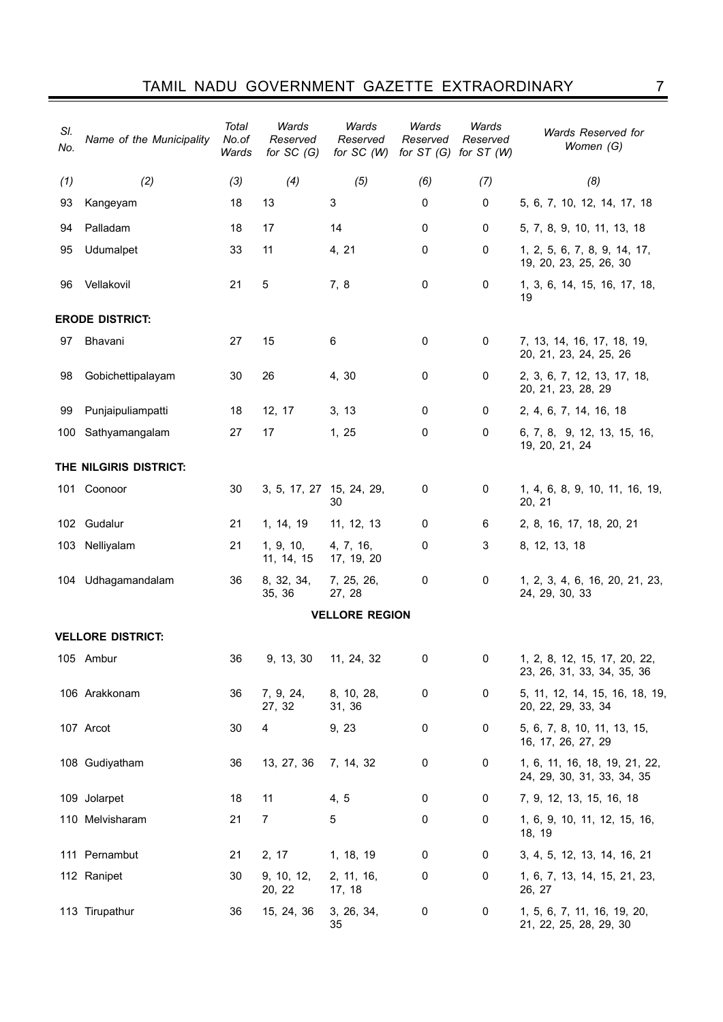| SI.<br>No.             | Name of the Municipality | Total<br>No.of<br>Wards | Wards<br>Reserved<br>for $SC(G)$ | Wards<br>Reserved<br>for $SC(W)$ | Wards<br>Reserved | Wards<br>Reserved<br>for $ST(G)$ for $ST(W)$ | Wards Reserved for<br>Women (G)                             |  |  |
|------------------------|--------------------------|-------------------------|----------------------------------|----------------------------------|-------------------|----------------------------------------------|-------------------------------------------------------------|--|--|
| (1)                    | (2)                      | (3)                     | (4)                              | (5)                              | (6)               | (7)                                          | (8)                                                         |  |  |
| 93                     | Kangeyam                 | 18                      | 13                               | 3                                | 0                 | 0                                            | 5, 6, 7, 10, 12, 14, 17, 18                                 |  |  |
| 94                     | Palladam                 | 18                      | 17                               | 14                               | 0                 | 0                                            | 5, 7, 8, 9, 10, 11, 13, 18                                  |  |  |
| 95                     | Udumalpet                | 33                      | 11                               | 4, 21                            | 0                 | $\mathbf 0$                                  | 1, 2, 5, 6, 7, 8, 9, 14, 17,<br>19, 20, 23, 25, 26, 30      |  |  |
| 96                     | Vellakovil               | 21                      | 5                                | 7, 8                             | 0                 | 0                                            | 1, 3, 6, 14, 15, 16, 17, 18,<br>19                          |  |  |
| <b>ERODE DISTRICT:</b> |                          |                         |                                  |                                  |                   |                                              |                                                             |  |  |
| 97                     | <b>Bhavani</b>           | 27                      | 15                               | 6                                | 0                 | 0                                            | 7, 13, 14, 16, 17, 18, 19,<br>20, 21, 23, 24, 25, 26        |  |  |
| 98                     | Gobichettipalayam        | 30                      | 26                               | 4, 30                            | 0                 | 0                                            | 2, 3, 6, 7, 12, 13, 17, 18,<br>20, 21, 23, 28, 29           |  |  |
| 99                     | Punjaipuliampatti        | 18                      | 12, 17                           | 3, 13                            | 0                 | 0                                            | 2, 4, 6, 7, 14, 16, 18                                      |  |  |
| 100                    | Sathyamangalam           | 27                      | 17                               | 1, 25                            | 0                 | 0                                            | 6, 7, 8, 9, 12, 13, 15, 16,<br>19, 20, 21, 24               |  |  |
|                        | THE NILGIRIS DISTRICT:   |                         |                                  |                                  |                   |                                              |                                                             |  |  |
|                        | 101 Coonoor              | 30                      | 3, 5, 17, 27 15, 24, 29,         | 30                               | 0                 | 0                                            | 1, 4, 6, 8, 9, 10, 11, 16, 19,<br>20, 21                    |  |  |
|                        | 102 Gudalur              | 21                      | 1, 14, 19                        | 11, 12, 13                       | 0                 | 6                                            | 2, 8, 16, 17, 18, 20, 21                                    |  |  |
|                        | 103 Nelliyalam           | 21                      | 1, 9, 10,<br>11, 14, 15          | 4, 7, 16,<br>17, 19, 20          | 0                 | 3                                            | 8, 12, 13, 18                                               |  |  |
|                        | 104 Udhagamandalam       | 36                      | 8, 32, 34,<br>35, 36             | 7, 25, 26,<br>27, 28             | 0                 | 0                                            | 1, 2, 3, 4, 6, 16, 20, 21, 23,<br>24, 29, 30, 33            |  |  |
|                        |                          |                         |                                  | <b>VELLORE REGION</b>            |                   |                                              |                                                             |  |  |
|                        | <b>VELLORE DISTRICT:</b> |                         |                                  |                                  |                   |                                              |                                                             |  |  |
|                        | 105 Ambur                | 36                      | 9, 13, 30                        | 11, 24, 32                       | 0                 | $\pmb{0}$                                    | 1, 2, 8, 12, 15, 17, 20, 22,<br>23, 26, 31, 33, 34, 35, 36  |  |  |
|                        | 106 Arakkonam            | 36                      | 7, 9, 24,<br>27, 32              | 8, 10, 28,<br>31, 36             | 0                 | $\pmb{0}$                                    | 5, 11, 12, 14, 15, 16, 18, 19,<br>20, 22, 29, 33, 34        |  |  |
|                        | 107 Arcot                | 30                      | 4                                | 9, 23                            | 0                 | 0                                            | 5, 6, 7, 8, 10, 11, 13, 15,<br>16, 17, 26, 27, 29           |  |  |
|                        | 108 Gudiyatham           | 36                      | 13, 27, 36                       | 7, 14, 32                        | 0                 | 0                                            | 1, 6, 11, 16, 18, 19, 21, 22,<br>24, 29, 30, 31, 33, 34, 35 |  |  |
|                        | 109 Jolarpet             | 18                      | 11                               | 4, 5                             | 0                 | 0                                            | 7, 9, 12, 13, 15, 16, 18                                    |  |  |
|                        | 110 Melvisharam          | 21                      | 7                                | 5                                | 0                 | 0                                            | 1, 6, 9, 10, 11, 12, 15, 16,<br>18, 19                      |  |  |
|                        | 111 Pernambut            | 21                      | 2, 17                            | 1, 18, 19                        | 0                 | 0                                            | 3, 4, 5, 12, 13, 14, 16, 21                                 |  |  |
|                        | 112 Ranipet              | 30                      | 9, 10, 12,<br>20, 22             | 2, 11, 16,<br>17, 18             | 0                 | 0                                            | 1, 6, 7, 13, 14, 15, 21, 23,<br>26, 27                      |  |  |
|                        | 113 Tirupathur           | 36                      | 15, 24, 36                       | 3, 26, 34,<br>35                 | 0                 | 0                                            | 1, 5, 6, 7, 11, 16, 19, 20,<br>21, 22, 25, 28, 29, 30       |  |  |